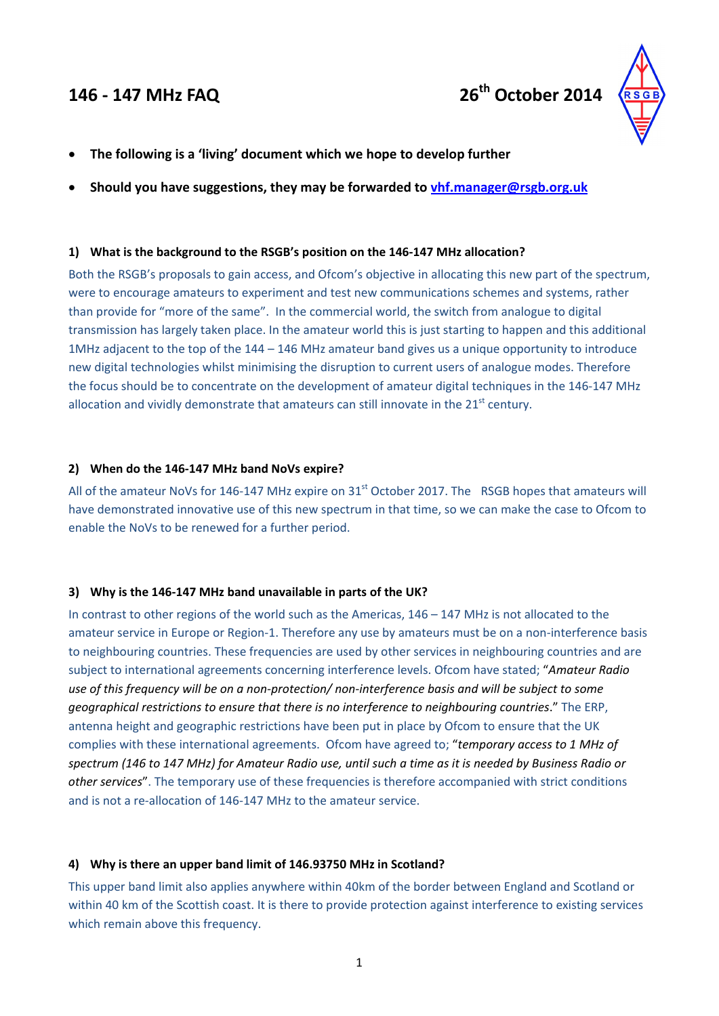



- **The following is a 'living' document which we hope to develop further**
- **Should you have suggestions, they may be forwarded to vhf.manager@rsgb.org.uk**

## **1) What is the background to the RSGB's position on the 146‐147 MHz allocation?**

Both the RSGB's proposals to gain access, and Ofcom's objective in allocating this new part of the spectrum, were to encourage amateurs to experiment and test new communications schemes and systems, rather than provide for "more of the same". In the commercial world, the switch from analogue to digital transmission has largely taken place. In the amateur world this is just starting to happen and this additional 1MHz adjacent to the top of the 144 – 146 MHz amateur band gives us a unique opportunity to introduce new digital technologies whilst minimising the disruption to current users of analogue modes. Therefore the focus should be to concentrate on the development of amateur digital techniques in the 146‐147 MHz allocation and vividly demonstrate that amateurs can still innovate in the  $21<sup>st</sup>$  century.

## **2) When do the 146‐147 MHz band NoVs expire?**

All of the amateur NoVs for 146-147 MHz expire on  $31<sup>st</sup>$  October 2017. The RSGB hopes that amateurs will have demonstrated innovative use of this new spectrum in that time, so we can make the case to Ofcom to enable the NoVs to be renewed for a further period.

#### **3) Why is the 146‐147 MHz band unavailable in parts of the UK?**

In contrast to other regions of the world such as the Americas, 146 – 147 MHz is not allocated to the amateur service in Europe or Region-1. Therefore any use by amateurs must be on a non-interference basis to neighbouring countries. These frequencies are used by other services in neighbouring countries and are subject to international agreements concerning interference levels. Ofcom have stated; "*Amateur Radio* use of this frequency will be on a non-protection/ non-interference basis and will be subject to some *geographical restrictions to ensure that there is no interference to neighbouring countries*." The ERP, antenna height and geographic restrictions have been put in place by Ofcom to ensure that the UK complies with these international agreements. Ofcom have agreed to; "*temporary access to 1 MHz of* spectrum (146 to 147 MHz) for Amateur Radio use, until such a time as it is needed by Business Radio or *other services*". The temporary use of these frequencies is therefore accompanied with strict conditions and is not a re‐allocation of 146‐147 MHz to the amateur service.

#### **4) Why is there an upper band limit of 146.93750 MHz in Scotland?**

This upper band limit also applies anywhere within 40km of the border between England and Scotland or within 40 km of the Scottish coast. It is there to provide protection against interference to existing services which remain above this frequency.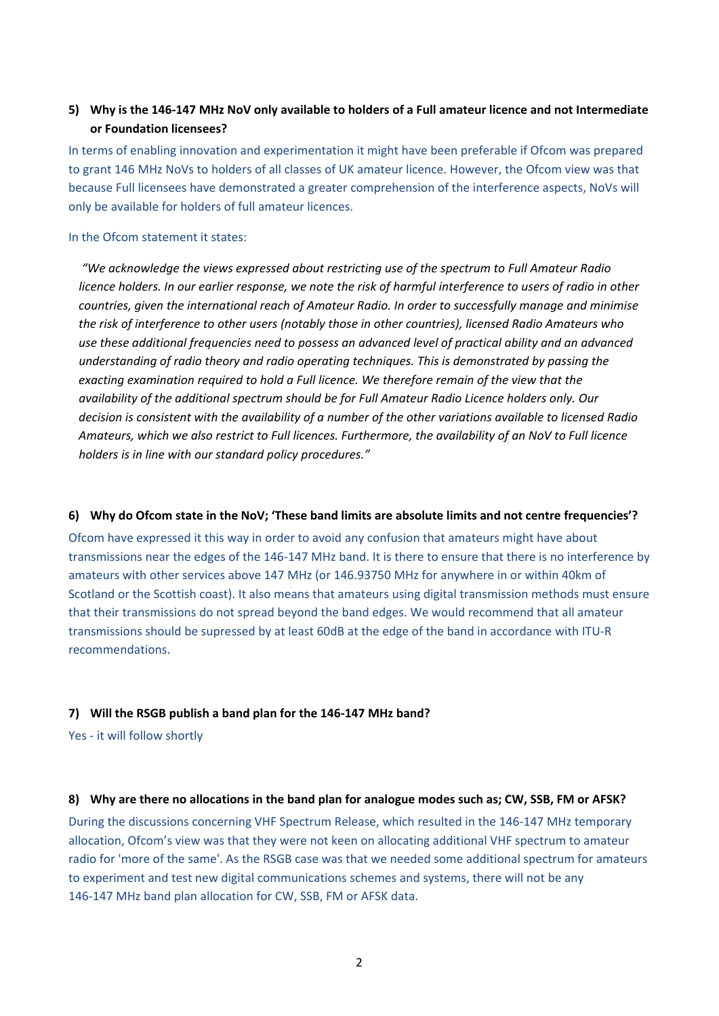# 5) Why is the 146-147 MHz NoV only available to holders of a Full amateur licence and not Intermediate **or Foundation licensees?**

In terms of enabling innovation and experimentation it might have been preferable if Ofcom was prepared to grant 146 MHz NoVs to holders of all classes of UK amateur licence. However, the Ofcom view was that because Full licensees have demonstrated a greater comprehension of the interference aspects, NoVs will only be available for holders of full amateur licences.

#### In the Ofcom statement it states:

*"We acknowledge the views expressed about restricting use of the spectrum to Full Amateur Radio* licence holders. In our earlier response, we note the risk of harmful interference to users of radio in other *countries, given the international reach of Amateur Radio. In order to successfully manage and minimise the risk of interference to other users (notably those in other countries), licensed Radio Amateurs who use these additional frequencies need to possess an advanced level of practical ability and an advanced understanding of radio theory and radio operating techniques. This is demonstrated by passing the exacting examination required to hold a Full licence. We therefore remain of the view that the availability of the additional spectrum should be for Full Amateur Radio Licence holders only. Our* decision is consistent with the availability of a number of the other variations available to licensed Radio Amateurs, which we also restrict to Full licences. Furthermore, the availability of an NoV to Full licence *holders is in line with our standard policy procedures."*

#### 6) Why do Ofcom state in the NoV; 'These band limits are absolute limits and not centre frequencies'?

Ofcom have expressed it this way in order to avoid any confusion that amateurs might have about transmissions near the edges of the 146‐147 MHz band. It is there to ensure that there is no interference by amateurs with other services above 147 MHz (or 146.93750 MHz for anywhere in or within 40km of Scotland or the Scottish coast). It also means that amateurs using digital transmission methods must ensure that their transmissions do not spread beyond the band edges. We would recommend that all amateur transmissions should be supressed by at least 60dB at the edge of the band in accordance with ITU‐R recommendations.

#### **7) Will the RSGB publish a band plan for the 146‐147 MHz band?**

Yes - it will follow shortly

#### 8) Why are there no allocations in the band plan for analogue modes such as; CW, SSB, FM or AFSK?

During the discussions concerning VHF Spectrum Release, which resulted in the 146‐147 MHz temporary allocation, Ofcom's view was that they were not keen on allocating additional VHF spectrum to amateur radio for 'more of the same'. As the RSGB case was that we needed some additional spectrum for amateurs to experiment and test new digital communications schemes and systems, there will not be any 146-147 MHz band plan allocation for CW, SSB, FM or AFSK data.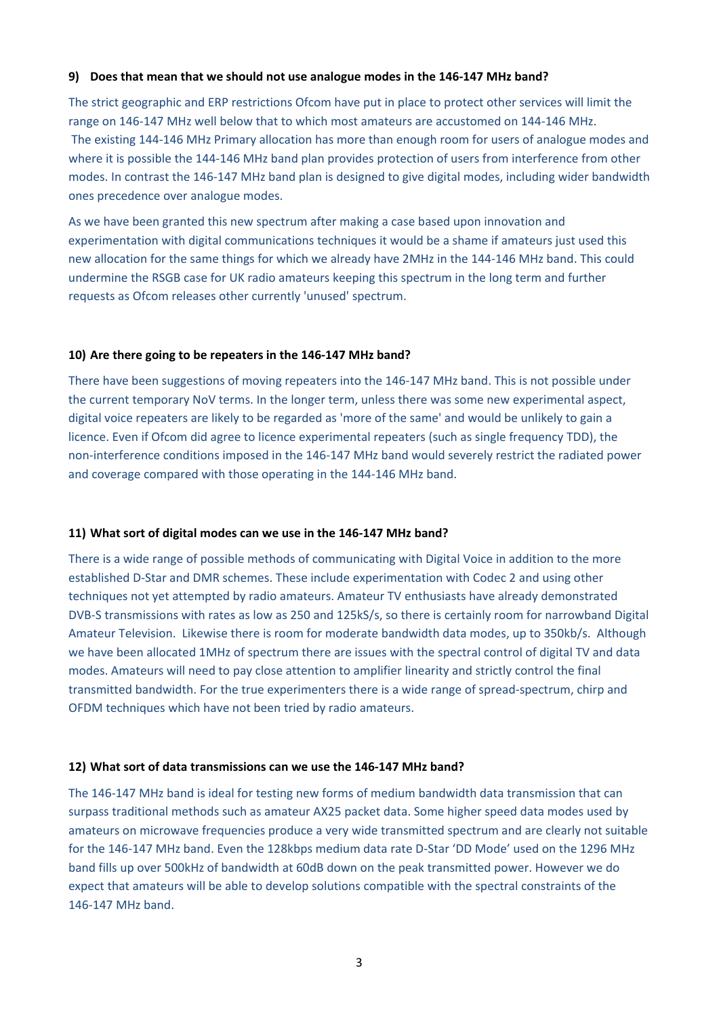#### **9) Does that mean that we should not use analogue modes in the 146‐147 MHz band?**

The strict geographic and ERP restrictions Ofcom have put in place to protect other services will limit the range on 146‐147 MHz well below that to which most amateurs are accustomed on 144‐146 MHz. The existing 144‐146 MHz Primary allocation has more than enough room for users of analogue modes and where it is possible the 144‐146 MHz band plan provides protection of users from interference from other modes. In contrast the 146‐147 MHz band plan is designed to give digital modes, including wider bandwidth ones precedence over analogue modes.

As we have been granted this new spectrum after making a case based upon innovation and experimentation with digital communications techniques it would be a shame if amateurs just used this new allocation for the same things for which we already have 2MHz in the 144‐146 MHz band. This could undermine the RSGB case for UK radio amateurs keeping this spectrum in the long term and further requests as Ofcom releases other currently 'unused' spectrum.

#### **10) Are there going to be repeaters in the 146‐147 MHz band?**

There have been suggestions of moving repeaters into the 146‐147 MHz band. This is not possible under the current temporary NoV terms. In the longer term, unless there was some new experimental aspect, digital voice repeaters are likely to be regarded as 'more of the same' and would be unlikely to gain a licence. Even if Ofcom did agree to licence experimental repeaters (such as single frequency TDD), the non‐interference conditions imposed in the 146‐147 MHz band would severely restrict the radiated power and coverage compared with those operating in the 144‐146 MHz band.

#### **11) What sort of digital modes can we use in the 146‐147 MHz band?**

There is a wide range of possible methods of communicating with Digital Voice in addition to the more established D‐Star and DMR schemes. These include experimentation with Codec 2 and using other techniques not yet attempted by radio amateurs. Amateur TV enthusiasts have already demonstrated DVB‐S transmissions with rates as low as 250 and 125kS/s, so there is certainly room for narrowband Digital Amateur Television. Likewise there is room for moderate bandwidth data modes, up to 350kb/s. Although we have been allocated 1MHz of spectrum there are issues with the spectral control of digital TV and data modes. Amateurs will need to pay close attention to amplifier linearity and strictly control the final transmitted bandwidth. For the true experimenters there is a wide range of spread‐spectrum, chirp and OFDM techniques which have not been tried by radio amateurs.

#### **12) What sort of data transmissions can we use the 146‐147 MHz band?**

The 146‐147 MHz band is ideal for testing new forms of medium bandwidth data transmission that can surpass traditional methods such as amateur AX25 packet data. Some higher speed data modes used by amateurs on microwave frequencies produce a very wide transmitted spectrum and are clearly not suitable for the 146‐147 MHz band. Even the 128kbps medium data rate D‐Star 'DD Mode' used on the 1296 MHz band fills up over 500kHz of bandwidth at 60dB down on the peak transmitted power. However we do expect that amateurs will be able to develop solutions compatible with the spectral constraints of the 146‐147 MHz band.